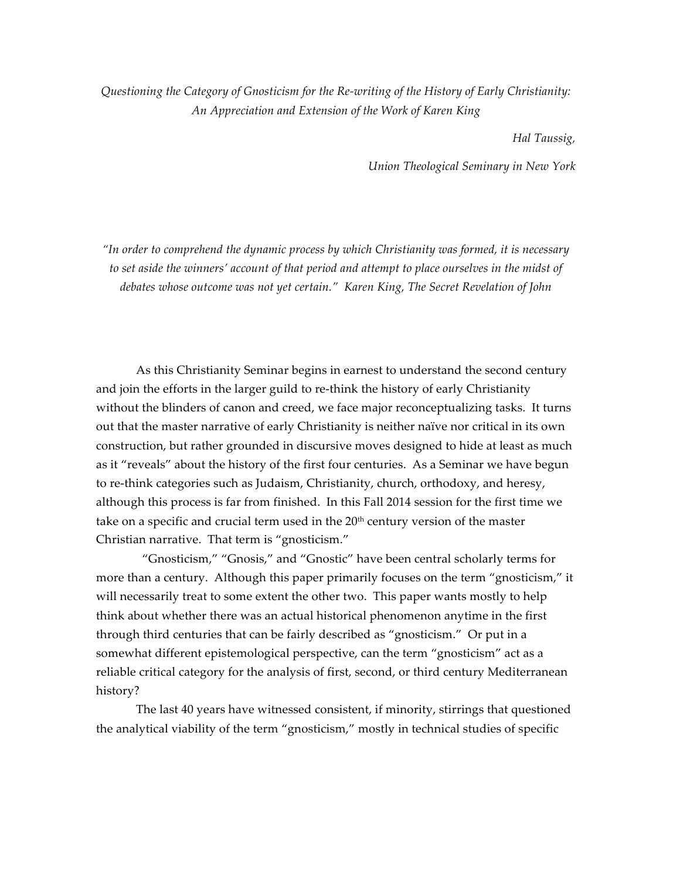*Questioning the Category of Gnosticism for the Re-writing of the History of Early Christianity: An Appreciation and Extension of the Work of Karen King*

*Hal Taussig,* 

*Union Theological Seminary in New York*

*"In order to comprehend the dynamic process by which Christianity was formed, it is necessary to set aside the winners' account of that period and attempt to place ourselves in the midst of debates whose outcome was not yet certain." Karen King, The Secret Revelation of John*

As this Christianity Seminar begins in earnest to understand the second century and join the efforts in the larger guild to re-think the history of early Christianity without the blinders of canon and creed, we face major reconceptualizing tasks. It turns out that the master narrative of early Christianity is neither naïve nor critical in its own construction, but rather grounded in discursive moves designed to hide at least as much as it "reveals" about the history of the first four centuries. As a Seminar we have begun to re-think categories such as Judaism, Christianity, church, orthodoxy, and heresy, although this process is far from finished. In this Fall 2014 session for the first time we take on a specific and crucial term used in the  $20<sup>th</sup>$  century version of the master Christian narrative. That term is "gnosticism."

 "Gnosticism," "Gnosis," and "Gnostic" have been central scholarly terms for more than a century. Although this paper primarily focuses on the term "gnosticism," it will necessarily treat to some extent the other two. This paper wants mostly to help think about whether there was an actual historical phenomenon anytime in the first through third centuries that can be fairly described as "gnosticism." Or put in a somewhat different epistemological perspective, can the term "gnosticism" act as a reliable critical category for the analysis of first, second, or third century Mediterranean history?

The last 40 years have witnessed consistent, if minority, stirrings that questioned the analytical viability of the term "gnosticism," mostly in technical studies of specific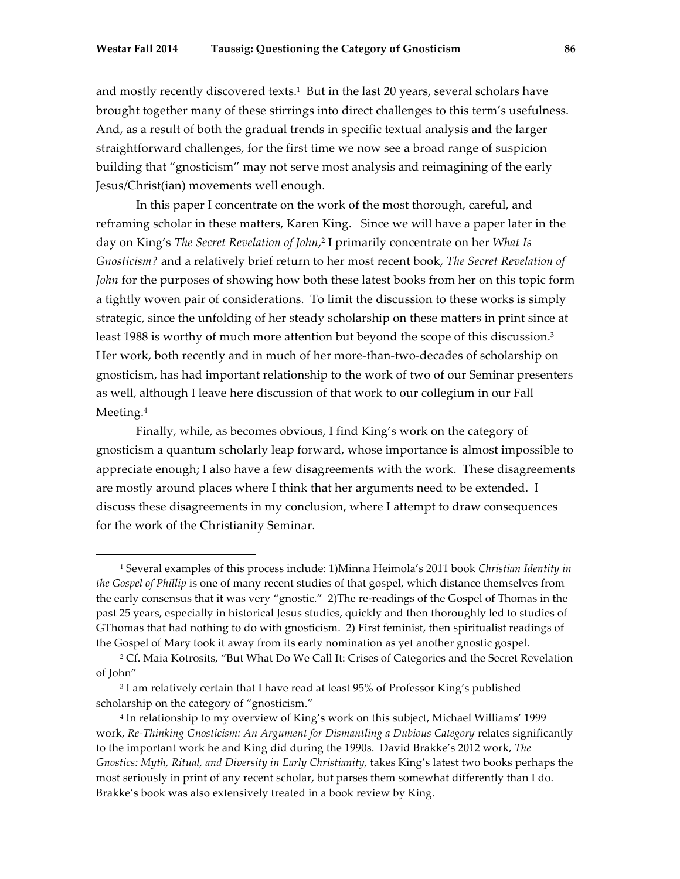and mostly recently discovered texts.<sup>1</sup> But in the last 20 years, several scholars have brought together many of these stirrings into direct challenges to this term's usefulness. And, as a result of both the gradual trends in specific textual analysis and the larger straightforward challenges, for the first time we now see a broad range of suspicion building that "gnosticism" may not serve most analysis and reimagining of the early Jesus/Christ(ian) movements well enough.

In this paper I concentrate on the work of the most thorough, careful, and reframing scholar in these matters, Karen King. Since we will have a paper later in the day on King's *The Secret Revelation of John*, <sup>2</sup> I primarily concentrate on her *What Is Gnosticism?* and a relatively brief return to her most recent book, *The Secret Revelation of John* for the purposes of showing how both these latest books from her on this topic form a tightly woven pair of considerations. To limit the discussion to these works is simply strategic, since the unfolding of her steady scholarship on these matters in print since at least 1988 is worthy of much more attention but beyond the scope of this discussion.3 Her work, both recently and in much of her more-than-two-decades of scholarship on gnosticism, has had important relationship to the work of two of our Seminar presenters as well, although I leave here discussion of that work to our collegium in our Fall Meeting.<sup>4</sup>

Finally, while, as becomes obvious, I find King's work on the category of gnosticism a quantum scholarly leap forward, whose importance is almost impossible to appreciate enough; I also have a few disagreements with the work. These disagreements are mostly around places where I think that her arguments need to be extended. I discuss these disagreements in my conclusion, where I attempt to draw consequences for the work of the Christianity Seminar.

<sup>1</sup> Several examples of this process include: 1)Minna Heimola's 2011 book *Christian Identity in the Gospel of Phillip* is one of many recent studies of that gospel, which distance themselves from the early consensus that it was very "gnostic." 2)The re-readings of the Gospel of Thomas in the past 25 years, especially in historical Jesus studies, quickly and then thoroughly led to studies of GThomas that had nothing to do with gnosticism. 2) First feminist, then spiritualist readings of the Gospel of Mary took it away from its early nomination as yet another gnostic gospel.

<sup>2</sup> Cf. Maia Kotrosits, "But What Do We Call It: Crises of Categories and the Secret Revelation of John"

<sup>&</sup>lt;sup>3</sup> I am relatively certain that I have read at least 95% of Professor King's published scholarship on the category of "gnosticism."

<sup>4</sup> In relationship to my overview of King's work on this subject, Michael Williams' 1999 work, *Re-Thinking Gnosticism: An Argument for Dismantling a Dubious Category* relates significantly to the important work he and King did during the 1990s. David Brakke's 2012 work, *The Gnostics: Myth, Ritual, and Diversity in Early Christianity,* takes King's latest two books perhaps the most seriously in print of any recent scholar, but parses them somewhat differently than I do. Brakke's book was also extensively treated in a book review by King.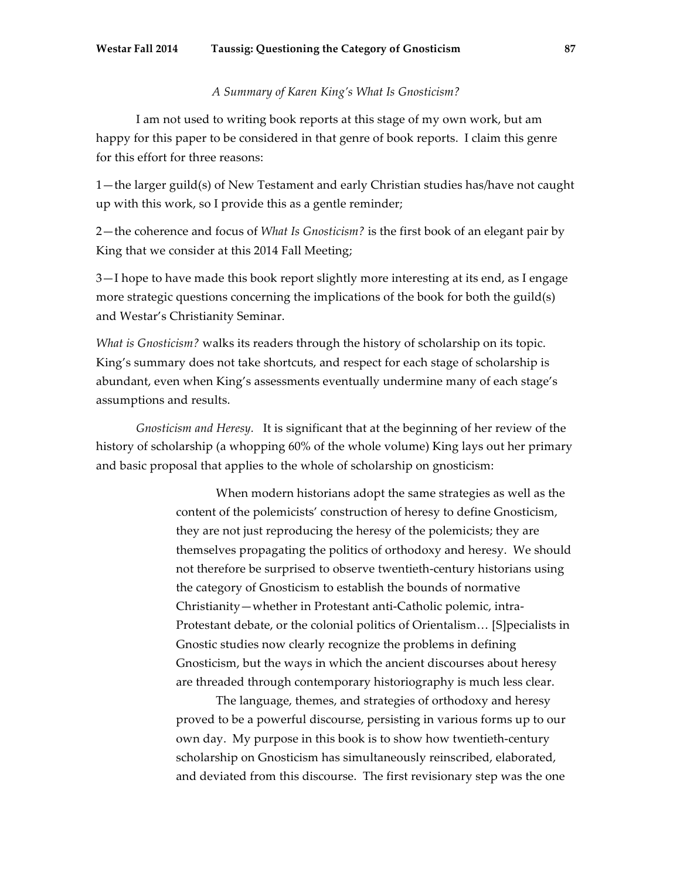## *A Summary of Karen King's What Is Gnosticism?*

I am not used to writing book reports at this stage of my own work, but am happy for this paper to be considered in that genre of book reports. I claim this genre for this effort for three reasons:

1—the larger guild(s) of New Testament and early Christian studies has/have not caught up with this work, so I provide this as a gentle reminder;

2—the coherence and focus of *What Is Gnosticism?* is the first book of an elegant pair by King that we consider at this 2014 Fall Meeting;

3—I hope to have made this book report slightly more interesting at its end, as I engage more strategic questions concerning the implications of the book for both the guild(s) and Westar's Christianity Seminar.

*What is Gnosticism?* walks its readers through the history of scholarship on its topic. King's summary does not take shortcuts, and respect for each stage of scholarship is abundant, even when King's assessments eventually undermine many of each stage's assumptions and results.

*Gnosticism and Heresy.* It is significant that at the beginning of her review of the history of scholarship (a whopping 60% of the whole volume) King lays out her primary and basic proposal that applies to the whole of scholarship on gnosticism:

> When modern historians adopt the same strategies as well as the content of the polemicists' construction of heresy to define Gnosticism, they are not just reproducing the heresy of the polemicists; they are themselves propagating the politics of orthodoxy and heresy. We should not therefore be surprised to observe twentieth-century historians using the category of Gnosticism to establish the bounds of normative Christianity—whether in Protestant anti-Catholic polemic, intra-Protestant debate, or the colonial politics of Orientalism… [S]pecialists in Gnostic studies now clearly recognize the problems in defining Gnosticism, but the ways in which the ancient discourses about heresy are threaded through contemporary historiography is much less clear.

The language, themes, and strategies of orthodoxy and heresy proved to be a powerful discourse, persisting in various forms up to our own day. My purpose in this book is to show how twentieth-century scholarship on Gnosticism has simultaneously reinscribed, elaborated, and deviated from this discourse. The first revisionary step was the one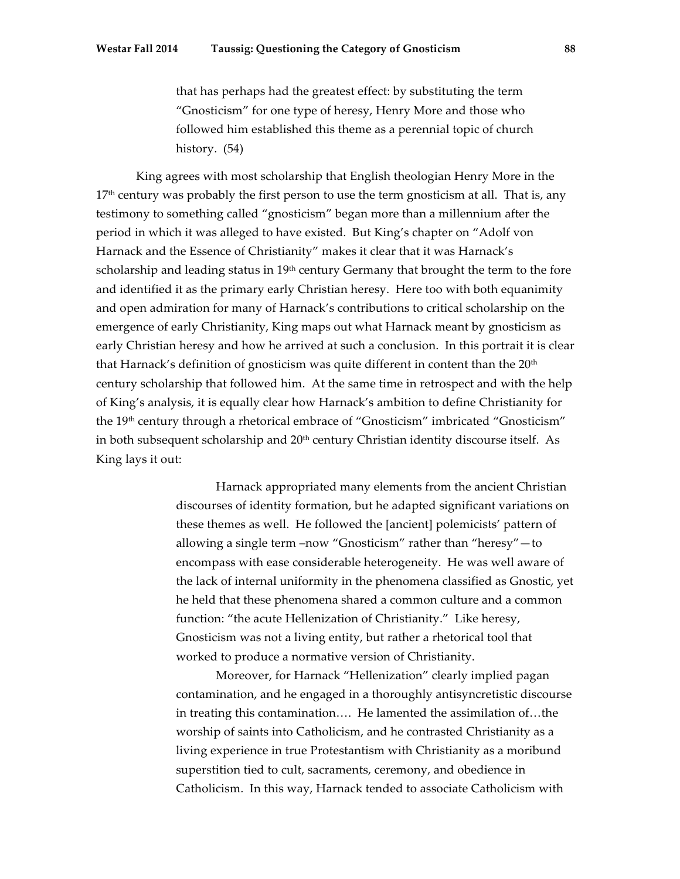that has perhaps had the greatest effect: by substituting the term "Gnosticism" for one type of heresy, Henry More and those who followed him established this theme as a perennial topic of church history. (54)

King agrees with most scholarship that English theologian Henry More in the  $17<sup>th</sup>$  century was probably the first person to use the term gnosticism at all. That is, any testimony to something called "gnosticism" began more than a millennium after the period in which it was alleged to have existed. But King's chapter on "Adolf von Harnack and the Essence of Christianity" makes it clear that it was Harnack's scholarship and leading status in  $19<sup>th</sup>$  century Germany that brought the term to the fore and identified it as the primary early Christian heresy. Here too with both equanimity and open admiration for many of Harnack's contributions to critical scholarship on the emergence of early Christianity, King maps out what Harnack meant by gnosticism as early Christian heresy and how he arrived at such a conclusion. In this portrait it is clear that Harnack's definition of gnosticism was quite different in content than the  $20<sup>th</sup>$ century scholarship that followed him. At the same time in retrospect and with the help of King's analysis, it is equally clear how Harnack's ambition to define Christianity for the 19th century through a rhetorical embrace of "Gnosticism" imbricated "Gnosticism" in both subsequent scholarship and  $20<sup>th</sup>$  century Christian identity discourse itself. As King lays it out:

> Harnack appropriated many elements from the ancient Christian discourses of identity formation, but he adapted significant variations on these themes as well. He followed the [ancient] polemicists' pattern of allowing a single term –now "Gnosticism" rather than "heresy"—to encompass with ease considerable heterogeneity. He was well aware of the lack of internal uniformity in the phenomena classified as Gnostic, yet he held that these phenomena shared a common culture and a common function: "the acute Hellenization of Christianity." Like heresy, Gnosticism was not a living entity, but rather a rhetorical tool that worked to produce a normative version of Christianity.

> Moreover, for Harnack "Hellenization" clearly implied pagan contamination, and he engaged in a thoroughly antisyncretistic discourse in treating this contamination…. He lamented the assimilation of…the worship of saints into Catholicism, and he contrasted Christianity as a living experience in true Protestantism with Christianity as a moribund superstition tied to cult, sacraments, ceremony, and obedience in Catholicism. In this way, Harnack tended to associate Catholicism with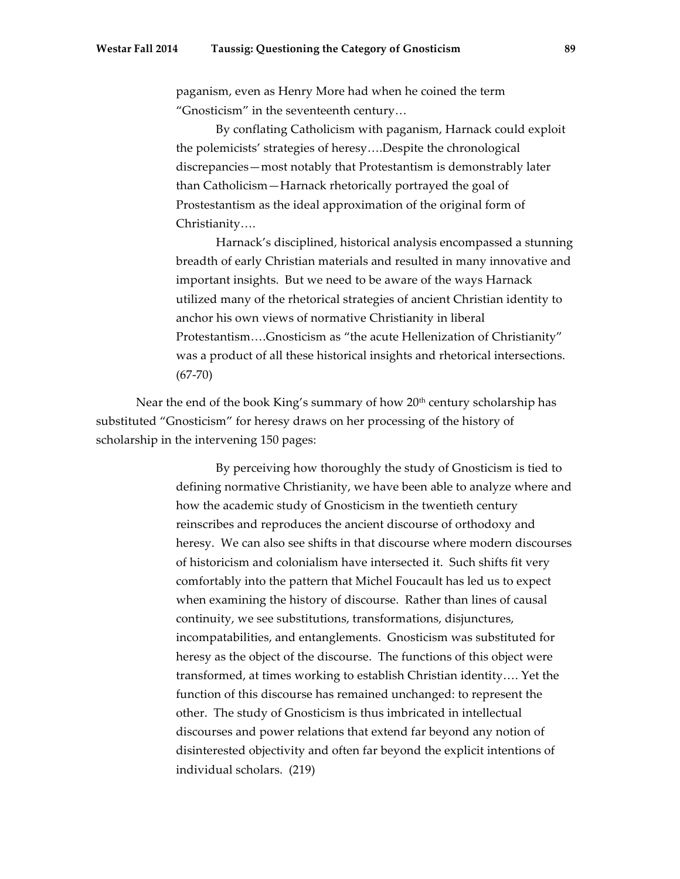paganism, even as Henry More had when he coined the term "Gnosticism" in the seventeenth century…

By conflating Catholicism with paganism, Harnack could exploit the polemicists' strategies of heresy….Despite the chronological discrepancies—most notably that Protestantism is demonstrably later than Catholicism—Harnack rhetorically portrayed the goal of Prostestantism as the ideal approximation of the original form of Christianity….

Harnack's disciplined, historical analysis encompassed a stunning breadth of early Christian materials and resulted in many innovative and important insights. But we need to be aware of the ways Harnack utilized many of the rhetorical strategies of ancient Christian identity to anchor his own views of normative Christianity in liberal Protestantism….Gnosticism as "the acute Hellenization of Christianity" was a product of all these historical insights and rhetorical intersections.  $(67-70)$ 

Near the end of the book King's summary of how 20<sup>th</sup> century scholarship has substituted "Gnosticism" for heresy draws on her processing of the history of scholarship in the intervening 150 pages:

> By perceiving how thoroughly the study of Gnosticism is tied to defining normative Christianity, we have been able to analyze where and how the academic study of Gnosticism in the twentieth century reinscribes and reproduces the ancient discourse of orthodoxy and heresy. We can also see shifts in that discourse where modern discourses of historicism and colonialism have intersected it. Such shifts fit very comfortably into the pattern that Michel Foucault has led us to expect when examining the history of discourse. Rather than lines of causal continuity, we see substitutions, transformations, disjunctures, incompatabilities, and entanglements. Gnosticism was substituted for heresy as the object of the discourse. The functions of this object were transformed, at times working to establish Christian identity…. Yet the function of this discourse has remained unchanged: to represent the other. The study of Gnosticism is thus imbricated in intellectual discourses and power relations that extend far beyond any notion of disinterested objectivity and often far beyond the explicit intentions of individual scholars. (219)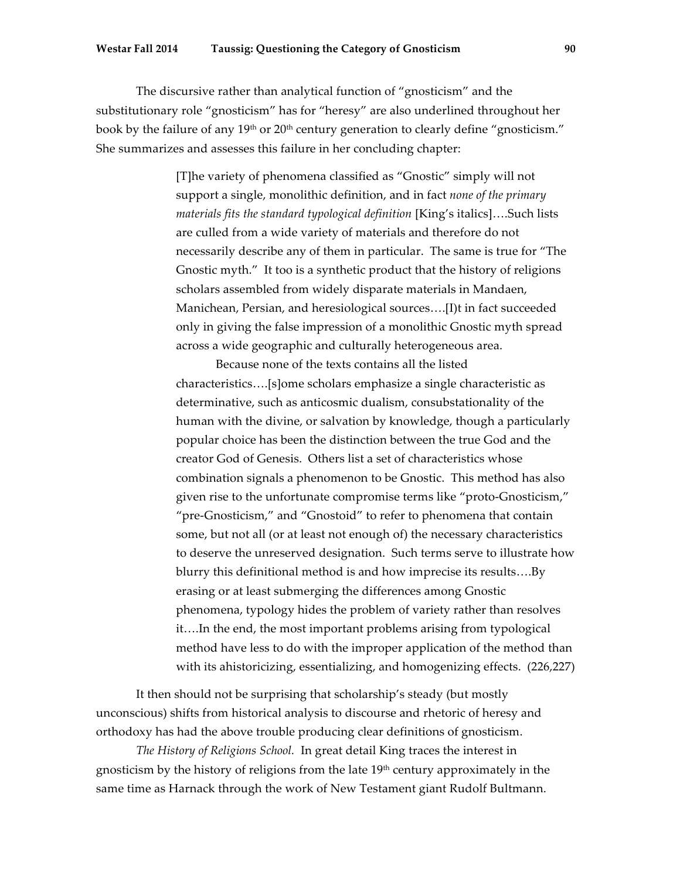### **Westar Fall 2014 Taussig: Questioning the Category of Gnosticism 90**

The discursive rather than analytical function of "gnosticism" and the substitutionary role "gnosticism" has for "heresy" are also underlined throughout her book by the failure of any 19<sup>th</sup> or 20<sup>th</sup> century generation to clearly define "gnosticism." She summarizes and assesses this failure in her concluding chapter:

> [T]he variety of phenomena classified as "Gnostic" simply will not support a single, monolithic definition, and in fact *none of the primary materials fits the standard typological definition* [King's italics]….Such lists are culled from a wide variety of materials and therefore do not necessarily describe any of them in particular. The same is true for "The Gnostic myth." It too is a synthetic product that the history of religions scholars assembled from widely disparate materials in Mandaen, Manichean, Persian, and heresiological sources….[I)t in fact succeeded only in giving the false impression of a monolithic Gnostic myth spread across a wide geographic and culturally heterogeneous area.

Because none of the texts contains all the listed characteristics….[s]ome scholars emphasize a single characteristic as determinative, such as anticosmic dualism, consubstationality of the human with the divine, or salvation by knowledge, though a particularly popular choice has been the distinction between the true God and the creator God of Genesis. Others list a set of characteristics whose combination signals a phenomenon to be Gnostic. This method has also given rise to the unfortunate compromise terms like "proto-Gnosticism," "pre-Gnosticism," and "Gnostoid" to refer to phenomena that contain some, but not all (or at least not enough of) the necessary characteristics to deserve the unreserved designation. Such terms serve to illustrate how blurry this definitional method is and how imprecise its results….By erasing or at least submerging the differences among Gnostic phenomena, typology hides the problem of variety rather than resolves it….In the end, the most important problems arising from typological method have less to do with the improper application of the method than with its ahistoricizing, essentializing, and homogenizing effects. (226,227)

It then should not be surprising that scholarship's steady (but mostly unconscious) shifts from historical analysis to discourse and rhetoric of heresy and orthodoxy has had the above trouble producing clear definitions of gnosticism.

*The History of Religions School.* In great detail King traces the interest in gnosticism by the history of religions from the late  $19<sup>th</sup>$  century approximately in the same time as Harnack through the work of New Testament giant Rudolf Bultmann.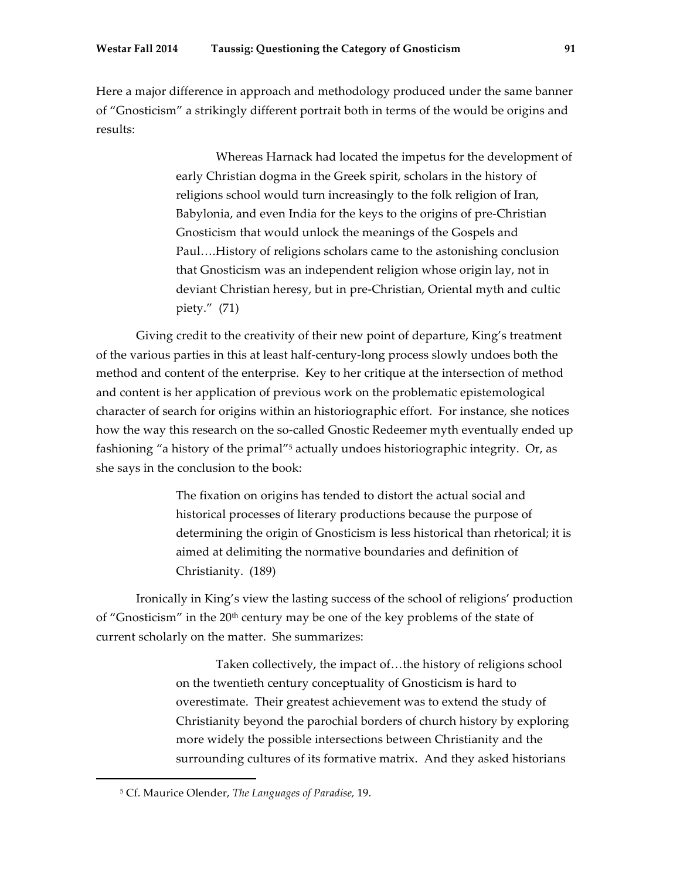Here a major difference in approach and methodology produced under the same banner of "Gnosticism" a strikingly different portrait both in terms of the would be origins and results:

> Whereas Harnack had located the impetus for the development of early Christian dogma in the Greek spirit, scholars in the history of religions school would turn increasingly to the folk religion of Iran, Babylonia, and even India for the keys to the origins of pre-Christian Gnosticism that would unlock the meanings of the Gospels and Paul….History of religions scholars came to the astonishing conclusion that Gnosticism was an independent religion whose origin lay, not in deviant Christian heresy, but in pre-Christian, Oriental myth and cultic piety." (71)

Giving credit to the creativity of their new point of departure, King's treatment of the various parties in this at least half-century-long process slowly undoes both the method and content of the enterprise. Key to her critique at the intersection of method and content is her application of previous work on the problematic epistemological character of search for origins within an historiographic effort. For instance, she notices how the way this research on the so-called Gnostic Redeemer myth eventually ended up fashioning "a history of the primal"<sup>5</sup> actually undoes historiographic integrity. Or, as she says in the conclusion to the book:

> The fixation on origins has tended to distort the actual social and historical processes of literary productions because the purpose of determining the origin of Gnosticism is less historical than rhetorical; it is aimed at delimiting the normative boundaries and definition of Christianity. (189)

Ironically in King's view the lasting success of the school of religions' production of "Gnosticism" in the  $20<sup>th</sup>$  century may be one of the key problems of the state of current scholarly on the matter. She summarizes:

> Taken collectively, the impact of…the history of religions school on the twentieth century conceptuality of Gnosticism is hard to overestimate. Their greatest achievement was to extend the study of Christianity beyond the parochial borders of church history by exploring more widely the possible intersections between Christianity and the surrounding cultures of its formative matrix. And they asked historians

<sup>5</sup> Cf. Maurice Olender, *The Languages of Paradise,* 19.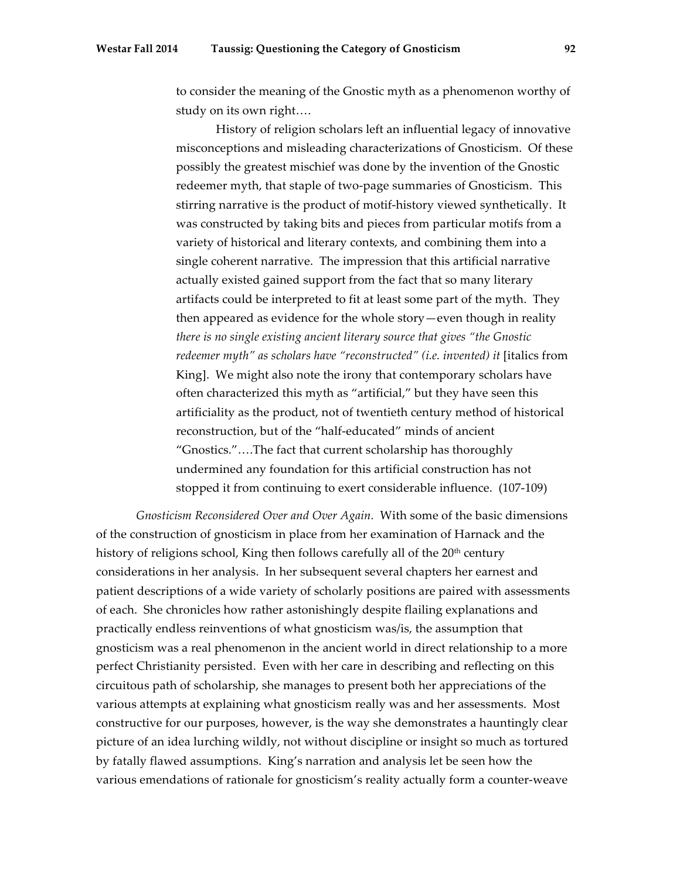to consider the meaning of the Gnostic myth as a phenomenon worthy of study on its own right….

History of religion scholars left an influential legacy of innovative misconceptions and misleading characterizations of Gnosticism. Of these possibly the greatest mischief was done by the invention of the Gnostic redeemer myth, that staple of two-page summaries of Gnosticism. This stirring narrative is the product of motif-history viewed synthetically. It was constructed by taking bits and pieces from particular motifs from a variety of historical and literary contexts, and combining them into a single coherent narrative. The impression that this artificial narrative actually existed gained support from the fact that so many literary artifacts could be interpreted to fit at least some part of the myth. They then appeared as evidence for the whole story—even though in reality *there is no single existing ancient literary source that gives "the Gnostic redeemer myth" as scholars have "reconstructed" (i.e. invented) it [italics from* King]. We might also note the irony that contemporary scholars have often characterized this myth as "artificial," but they have seen this artificiality as the product, not of twentieth century method of historical reconstruction, but of the "half-educated" minds of ancient "Gnostics."….The fact that current scholarship has thoroughly undermined any foundation for this artificial construction has not stopped it from continuing to exert considerable influence. (107-109)

*Gnosticism Reconsidered Over and Over Again.* With some of the basic dimensions of the construction of gnosticism in place from her examination of Harnack and the history of religions school, King then follows carefully all of the 20<sup>th</sup> century considerations in her analysis. In her subsequent several chapters her earnest and patient descriptions of a wide variety of scholarly positions are paired with assessments of each. She chronicles how rather astonishingly despite flailing explanations and practically endless reinventions of what gnosticism was/is, the assumption that gnosticism was a real phenomenon in the ancient world in direct relationship to a more perfect Christianity persisted. Even with her care in describing and reflecting on this circuitous path of scholarship, she manages to present both her appreciations of the various attempts at explaining what gnosticism really was and her assessments. Most constructive for our purposes, however, is the way she demonstrates a hauntingly clear picture of an idea lurching wildly, not without discipline or insight so much as tortured by fatally flawed assumptions. King's narration and analysis let be seen how the various emendations of rationale for gnosticism's reality actually form a counter-weave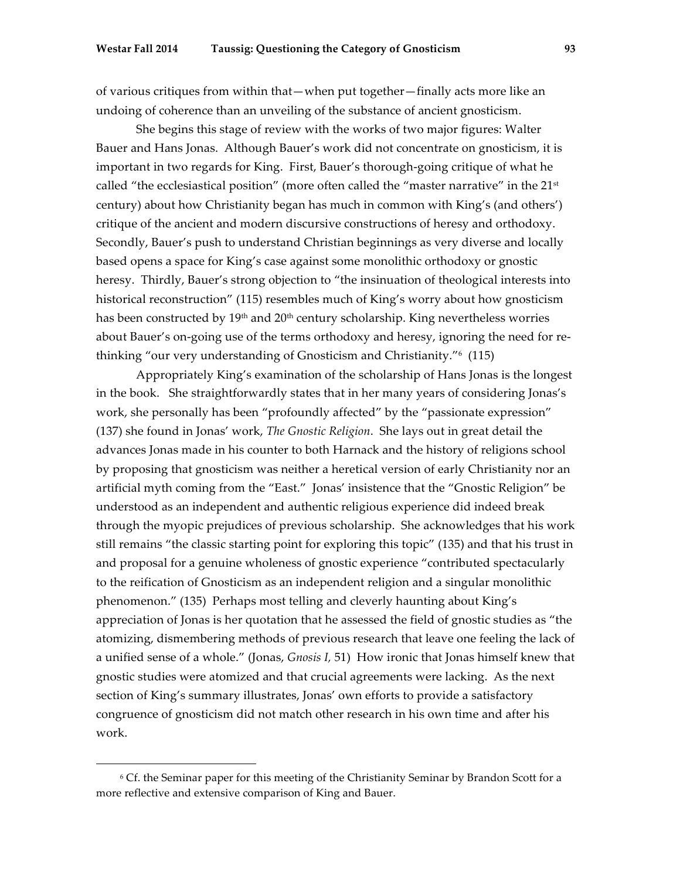of various critiques from within that—when put together—finally acts more like an undoing of coherence than an unveiling of the substance of ancient gnosticism.

She begins this stage of review with the works of two major figures: Walter Bauer and Hans Jonas. Although Bauer's work did not concentrate on gnosticism, it is important in two regards for King. First, Bauer's thorough-going critique of what he called "the ecclesiastical position" (more often called the "master narrative" in the  $21<sup>st</sup>$ century) about how Christianity began has much in common with King's (and others') critique of the ancient and modern discursive constructions of heresy and orthodoxy. Secondly, Bauer's push to understand Christian beginnings as very diverse and locally based opens a space for King's case against some monolithic orthodoxy or gnostic heresy. Thirdly, Bauer's strong objection to "the insinuation of theological interests into historical reconstruction" (115) resembles much of King's worry about how gnosticism has been constructed by 19<sup>th</sup> and 20<sup>th</sup> century scholarship. King nevertheless worries about Bauer's on-going use of the terms orthodoxy and heresy, ignoring the need for rethinking "our very understanding of Gnosticism and Christianity."6 (115)

Appropriately King's examination of the scholarship of Hans Jonas is the longest in the book. She straightforwardly states that in her many years of considering Jonas's work, she personally has been "profoundly affected" by the "passionate expression" (137) she found in Jonas' work, *The Gnostic Religion*. She lays out in great detail the advances Jonas made in his counter to both Harnack and the history of religions school by proposing that gnosticism was neither a heretical version of early Christianity nor an artificial myth coming from the "East." Jonas' insistence that the "Gnostic Religion" be understood as an independent and authentic religious experience did indeed break through the myopic prejudices of previous scholarship. She acknowledges that his work still remains "the classic starting point for exploring this topic" (135) and that his trust in and proposal for a genuine wholeness of gnostic experience "contributed spectacularly to the reification of Gnosticism as an independent religion and a singular monolithic phenomenon." (135) Perhaps most telling and cleverly haunting about King's appreciation of Jonas is her quotation that he assessed the field of gnostic studies as "the atomizing, dismembering methods of previous research that leave one feeling the lack of a unified sense of a whole." (Jonas, *Gnosis I,* 51) How ironic that Jonas himself knew that gnostic studies were atomized and that crucial agreements were lacking. As the next section of King's summary illustrates, Jonas' own efforts to provide a satisfactory congruence of gnosticism did not match other research in his own time and after his work.

<sup>6</sup> Cf. the Seminar paper for this meeting of the Christianity Seminar by Brandon Scott for a more reflective and extensive comparison of King and Bauer.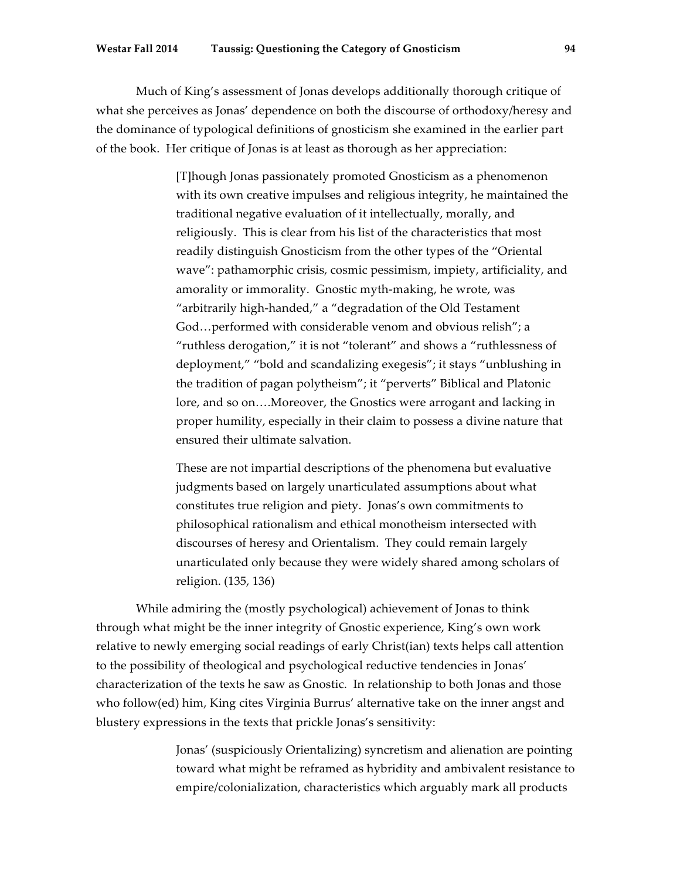#### **Westar Fall 2014 Taussig: Questioning the Category of Gnosticism 94**

Much of King's assessment of Jonas develops additionally thorough critique of what she perceives as Jonas' dependence on both the discourse of orthodoxy/heresy and the dominance of typological definitions of gnosticism she examined in the earlier part of the book. Her critique of Jonas is at least as thorough as her appreciation:

> [T]hough Jonas passionately promoted Gnosticism as a phenomenon with its own creative impulses and religious integrity, he maintained the traditional negative evaluation of it intellectually, morally, and religiously. This is clear from his list of the characteristics that most readily distinguish Gnosticism from the other types of the "Oriental wave": pathamorphic crisis, cosmic pessimism, impiety, artificiality, and amorality or immorality. Gnostic myth-making, he wrote, was "arbitrarily high-handed," a "degradation of the Old Testament God…performed with considerable venom and obvious relish"; a "ruthless derogation," it is not "tolerant" and shows a "ruthlessness of deployment," "bold and scandalizing exegesis"; it stays "unblushing in the tradition of pagan polytheism"; it "perverts" Biblical and Platonic lore, and so on….Moreover, the Gnostics were arrogant and lacking in proper humility, especially in their claim to possess a divine nature that ensured their ultimate salvation.

These are not impartial descriptions of the phenomena but evaluative judgments based on largely unarticulated assumptions about what constitutes true religion and piety. Jonas's own commitments to philosophical rationalism and ethical monotheism intersected with discourses of heresy and Orientalism. They could remain largely unarticulated only because they were widely shared among scholars of religion. (135, 136)

While admiring the (mostly psychological) achievement of Jonas to think through what might be the inner integrity of Gnostic experience, King's own work relative to newly emerging social readings of early Christ(ian) texts helps call attention to the possibility of theological and psychological reductive tendencies in Jonas' characterization of the texts he saw as Gnostic. In relationship to both Jonas and those who follow(ed) him, King cites Virginia Burrus' alternative take on the inner angst and blustery expressions in the texts that prickle Jonas's sensitivity:

> Jonas' (suspiciously Orientalizing) syncretism and alienation are pointing toward what might be reframed as hybridity and ambivalent resistance to empire/colonialization, characteristics which arguably mark all products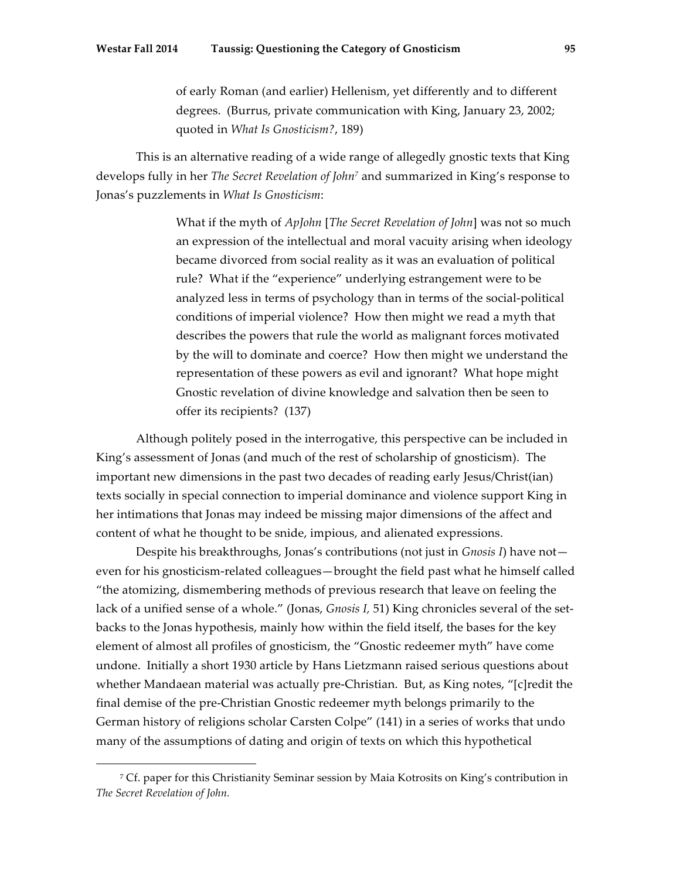of early Roman (and earlier) Hellenism, yet differently and to different degrees. (Burrus, private communication with King, January 23, 2002; quoted in *What Is Gnosticism?*, 189)

This is an alternative reading of a wide range of allegedly gnostic texts that King develops fully in her *The Secret Revelation of John7* and summarized in King's response to Jonas's puzzlements in *What Is Gnosticism*:

> What if the myth of *ApJohn* [*The Secret Revelation of John*] was not so much an expression of the intellectual and moral vacuity arising when ideology became divorced from social reality as it was an evaluation of political rule? What if the "experience" underlying estrangement were to be analyzed less in terms of psychology than in terms of the social-political conditions of imperial violence? How then might we read a myth that describes the powers that rule the world as malignant forces motivated by the will to dominate and coerce? How then might we understand the representation of these powers as evil and ignorant? What hope might Gnostic revelation of divine knowledge and salvation then be seen to offer its recipients? (137)

Although politely posed in the interrogative, this perspective can be included in King's assessment of Jonas (and much of the rest of scholarship of gnosticism). The important new dimensions in the past two decades of reading early Jesus/Christ(ian) texts socially in special connection to imperial dominance and violence support King in her intimations that Jonas may indeed be missing major dimensions of the affect and content of what he thought to be snide, impious, and alienated expressions.

Despite his breakthroughs, Jonas's contributions (not just in *Gnosis I*) have not even for his gnosticism-related colleagues—brought the field past what he himself called "the atomizing, dismembering methods of previous research that leave on feeling the lack of a unified sense of a whole." (Jonas, *Gnosis I,* 51) King chronicles several of the setbacks to the Jonas hypothesis, mainly how within the field itself, the bases for the key element of almost all profiles of gnosticism, the "Gnostic redeemer myth" have come undone. Initially a short 1930 article by Hans Lietzmann raised serious questions about whether Mandaean material was actually pre-Christian. But, as King notes, "[c]redit the final demise of the pre-Christian Gnostic redeemer myth belongs primarily to the German history of religions scholar Carsten Colpe" (141) in a series of works that undo many of the assumptions of dating and origin of texts on which this hypothetical

<sup>7</sup> Cf. paper for this Christianity Seminar session by Maia Kotrosits on King's contribution in *The Secret Revelation of John.*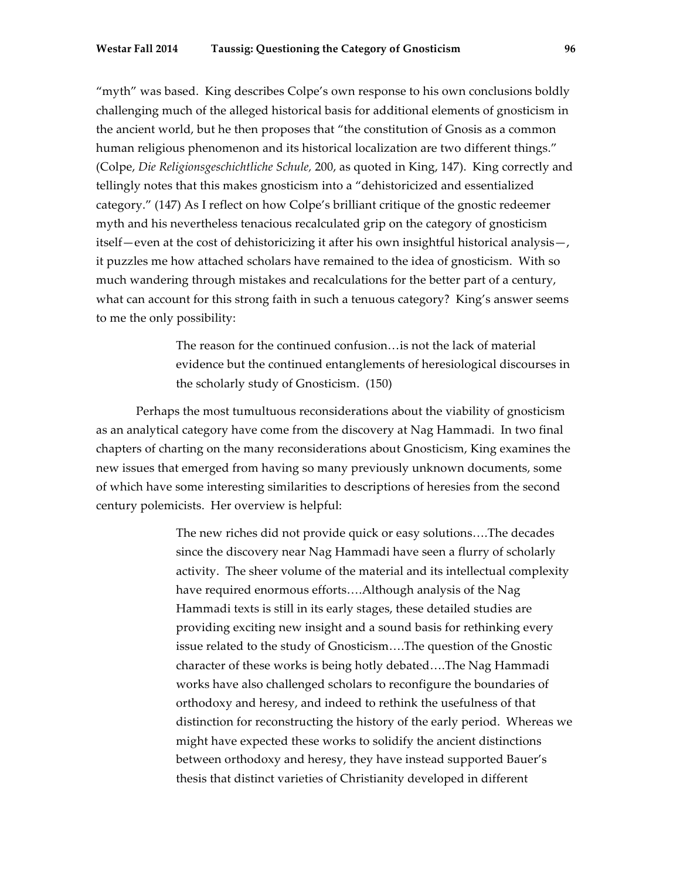"myth" was based. King describes Colpe's own response to his own conclusions boldly challenging much of the alleged historical basis for additional elements of gnosticism in the ancient world, but he then proposes that "the constitution of Gnosis as a common human religious phenomenon and its historical localization are two different things." (Colpe, *Die Religionsgeschichtliche Schule,* 200, as quoted in King, 147). King correctly and tellingly notes that this makes gnosticism into a "dehistoricized and essentialized category." (147) As I reflect on how Colpe's brilliant critique of the gnostic redeemer myth and his nevertheless tenacious recalculated grip on the category of gnosticism itself—even at the cost of dehistoricizing it after his own insightful historical analysis—, it puzzles me how attached scholars have remained to the idea of gnosticism. With so much wandering through mistakes and recalculations for the better part of a century, what can account for this strong faith in such a tenuous category? King's answer seems to me the only possibility:

> The reason for the continued confusion…is not the lack of material evidence but the continued entanglements of heresiological discourses in the scholarly study of Gnosticism. (150)

Perhaps the most tumultuous reconsiderations about the viability of gnosticism as an analytical category have come from the discovery at Nag Hammadi. In two final chapters of charting on the many reconsiderations about Gnosticism, King examines the new issues that emerged from having so many previously unknown documents, some of which have some interesting similarities to descriptions of heresies from the second century polemicists. Her overview is helpful:

> The new riches did not provide quick or easy solutions….The decades since the discovery near Nag Hammadi have seen a flurry of scholarly activity. The sheer volume of the material and its intellectual complexity have required enormous efforts….Although analysis of the Nag Hammadi texts is still in its early stages, these detailed studies are providing exciting new insight and a sound basis for rethinking every issue related to the study of Gnosticism….The question of the Gnostic character of these works is being hotly debated….The Nag Hammadi works have also challenged scholars to reconfigure the boundaries of orthodoxy and heresy, and indeed to rethink the usefulness of that distinction for reconstructing the history of the early period. Whereas we might have expected these works to solidify the ancient distinctions between orthodoxy and heresy, they have instead supported Bauer's thesis that distinct varieties of Christianity developed in different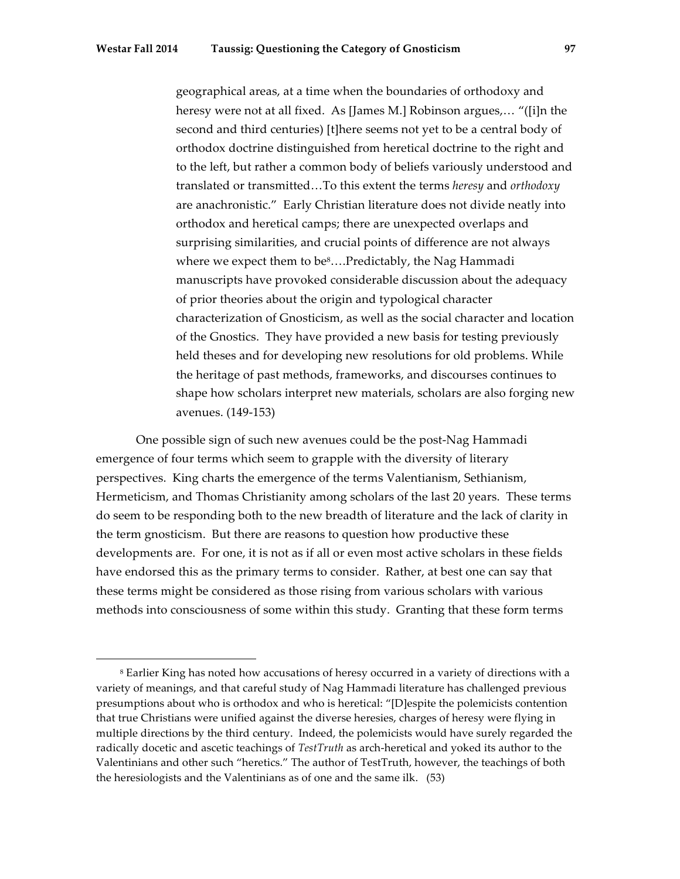avenues. (149-153)

 

geographical areas, at a time when the boundaries of orthodoxy and heresy were not at all fixed. As [James M.] Robinson argues,… "([i]n the second and third centuries) [t]here seems not yet to be a central body of orthodox doctrine distinguished from heretical doctrine to the right and to the left, but rather a common body of beliefs variously understood and translated or transmitted…To this extent the terms *heresy* and *orthodoxy* are anachronistic." Early Christian literature does not divide neatly into orthodox and heretical camps; there are unexpected overlaps and surprising similarities, and crucial points of difference are not always where we expect them to be $8...$ Predictably, the Nag Hammadi manuscripts have provoked considerable discussion about the adequacy of prior theories about the origin and typological character characterization of Gnosticism, as well as the social character and location of the Gnostics. They have provided a new basis for testing previously held theses and for developing new resolutions for old problems. While the heritage of past methods, frameworks, and discourses continues to shape how scholars interpret new materials, scholars are also forging new

One possible sign of such new avenues could be the post-Nag Hammadi emergence of four terms which seem to grapple with the diversity of literary perspectives. King charts the emergence of the terms Valentianism, Sethianism, Hermeticism, and Thomas Christianity among scholars of the last 20 years. These terms do seem to be responding both to the new breadth of literature and the lack of clarity in the term gnosticism. But there are reasons to question how productive these developments are. For one, it is not as if all or even most active scholars in these fields have endorsed this as the primary terms to consider. Rather, at best one can say that these terms might be considered as those rising from various scholars with various methods into consciousness of some within this study. Granting that these form terms

<sup>&</sup>lt;sup>8</sup> Earlier King has noted how accusations of heresy occurred in a variety of directions with a variety of meanings, and that careful study of Nag Hammadi literature has challenged previous presumptions about who is orthodox and who is heretical: "[D]espite the polemicists contention that true Christians were unified against the diverse heresies, charges of heresy were flying in multiple directions by the third century. Indeed, the polemicists would have surely regarded the radically docetic and ascetic teachings of *TestTruth* as arch-heretical and yoked its author to the Valentinians and other such "heretics." The author of TestTruth, however, the teachings of both the heresiologists and the Valentinians as of one and the same ilk. (53)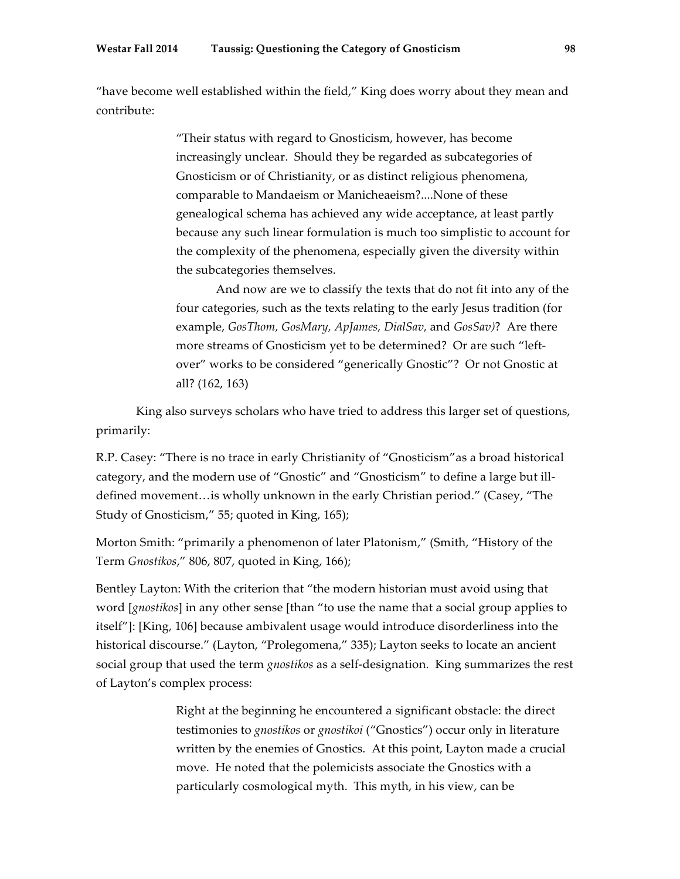"have become well established within the field," King does worry about they mean and contribute:

> "Their status with regard to Gnosticism, however, has become increasingly unclear. Should they be regarded as subcategories of Gnosticism or of Christianity, or as distinct religious phenomena, comparable to Mandaeism or Manicheaeism?....None of these genealogical schema has achieved any wide acceptance, at least partly because any such linear formulation is much too simplistic to account for the complexity of the phenomena, especially given the diversity within the subcategories themselves.

> And now are we to classify the texts that do not fit into any of the four categories, such as the texts relating to the early Jesus tradition (for example, *GosThom, GosMary, ApJames, DialSav,* and *GosSav)*? Are there more streams of Gnosticism yet to be determined? Or are such "leftover" works to be considered "generically Gnostic"? Or not Gnostic at all? (162, 163)

King also surveys scholars who have tried to address this larger set of questions, primarily:

R.P. Casey: "There is no trace in early Christianity of "Gnosticism"as a broad historical category, and the modern use of "Gnostic" and "Gnosticism" to define a large but illdefined movement…is wholly unknown in the early Christian period." (Casey, "The Study of Gnosticism," 55; quoted in King, 165);

Morton Smith: "primarily a phenomenon of later Platonism," (Smith, "History of the Term *Gnostikos*," 806, 807, quoted in King, 166);

Bentley Layton: With the criterion that "the modern historian must avoid using that word [*gnostikos*] in any other sense [than "to use the name that a social group applies to itself"]: [King, 106] because ambivalent usage would introduce disorderliness into the historical discourse." (Layton, "Prolegomena," 335); Layton seeks to locate an ancient social group that used the term *gnostikos* as a self-designation. King summarizes the rest of Layton's complex process:

> Right at the beginning he encountered a significant obstacle: the direct testimonies to *gnostikos* or *gnostikoi* ("Gnostics") occur only in literature written by the enemies of Gnostics. At this point, Layton made a crucial move. He noted that the polemicists associate the Gnostics with a particularly cosmological myth. This myth, in his view, can be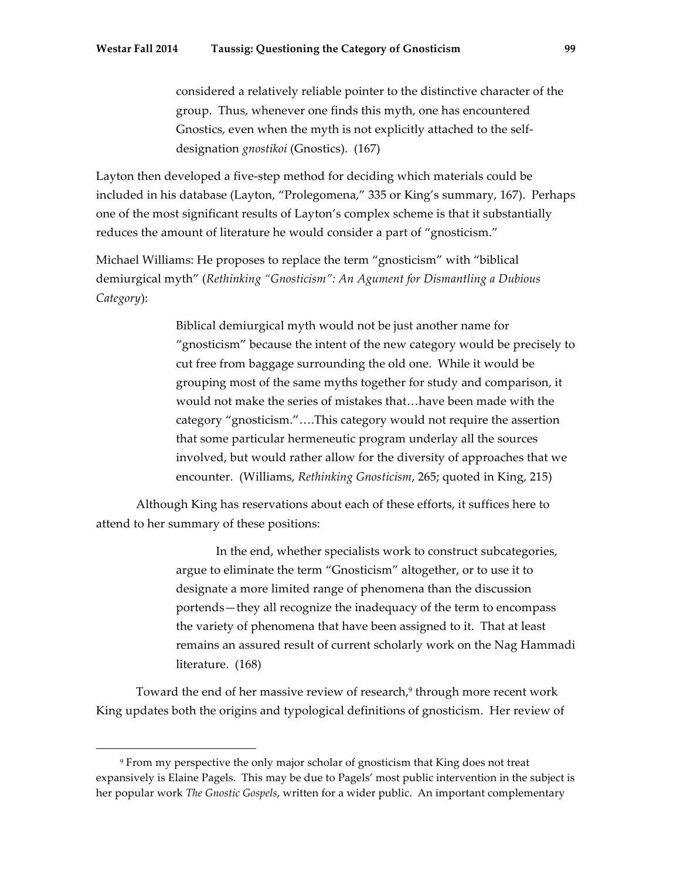considered a relatively reliable pointer to the distinctive character of the group. Thus, whenever one finds this myth, one has encountered Gnostics, even when the myth is not explicitly attached to the selfdesignation *gnostikoi* (Gnostics). (167)

Layton then developed a five-step method for deciding which materials could be included in his database (Layton, "Prolegomena," 335 or King's summary, 167). Perhaps one of the most significant results of Layton's complex scheme is that it substantially reduces the amount of literature he would consider a part of "gnosticism."

Michael Williams: He proposes to replace the term "gnosticism" with "biblical demiurgical myth" (*Rethinking "Gnosticism": An Agument for Dismantling a Dubious Category*):

> Biblical demiurgical myth would not be just another name for "gnosticism" because the intent of the new category would be precisely to cut free from baggage surrounding the old one. While it would be grouping most of the same myths together for study and comparison, it would not make the series of mistakes that…have been made with the category "gnosticism."….This category would not require the assertion that some particular hermeneutic program underlay all the sources involved, but would rather allow for the diversity of approaches that we encounter. (Williams, *Rethinking Gnosticism*, 265; quoted in King, 215)

Although King has reservations about each of these efforts, it suffices here to attend to her summary of these positions:

> In the end, whether specialists work to construct subcategories, argue to eliminate the term "Gnosticism" altogether, or to use it to designate a more limited range of phenomena than the discussion portends—they all recognize the inadequacy of the term to encompass the variety of phenomena that have been assigned to it. That at least remains an assured result of current scholarly work on the Nag Hammadi literature. (168)

Toward the end of her massive review of research,<sup>9</sup> through more recent work King updates both the origins and typological definitions of gnosticism. Her review of

<sup>9</sup> From my perspective the only major scholar of gnosticism that King does not treat expansively is Elaine Pagels. This may be due to Pagels' most public intervention in the subject is her popular work *The Gnostic Gospels*, written for a wider public. An important complementary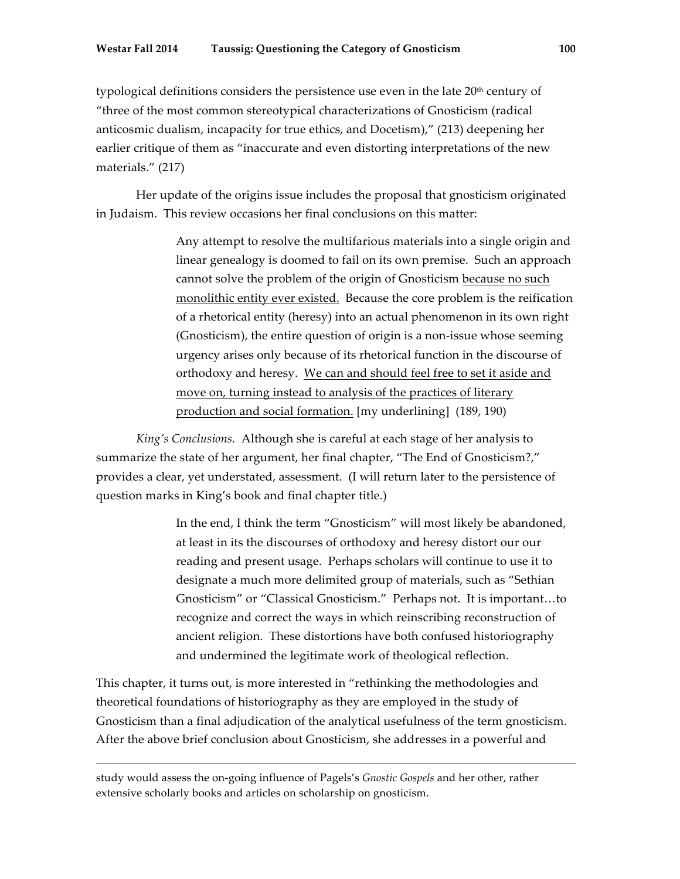typological definitions considers the persistence use even in the late  $20<sup>th</sup>$  century of "three of the most common stereotypical characterizations of Gnosticism (radical anticosmic dualism, incapacity for true ethics, and Docetism)," (213) deepening her earlier critique of them as "inaccurate and even distorting interpretations of the new materials." (217)

Her update of the origins issue includes the proposal that gnosticism originated in Judaism. This review occasions her final conclusions on this matter:

> Any attempt to resolve the multifarious materials into a single origin and linear genealogy is doomed to fail on its own premise. Such an approach cannot solve the problem of the origin of Gnosticism because no such monolithic entity ever existed. Because the core problem is the reification of a rhetorical entity (heresy) into an actual phenomenon in its own right (Gnosticism), the entire question of origin is a non-issue whose seeming urgency arises only because of its rhetorical function in the discourse of orthodoxy and heresy. We can and should feel free to set it aside and move on, turning instead to analysis of the practices of literary production and social formation. [my underlining] (189, 190)

*King's Conclusions.* Although she is careful at each stage of her analysis to summarize the state of her argument, her final chapter, "The End of Gnosticism?," provides a clear, yet understated, assessment. (I will return later to the persistence of question marks in King's book and final chapter title.)

> In the end, I think the term "Gnosticism" will most likely be abandoned, at least in its the discourses of orthodoxy and heresy distort our our reading and present usage. Perhaps scholars will continue to use it to designate a much more delimited group of materials, such as "Sethian Gnosticism" or "Classical Gnosticism." Perhaps not. It is important…to recognize and correct the ways in which reinscribing reconstruction of ancient religion. These distortions have both confused historiography and undermined the legitimate work of theological reflection.

This chapter, it turns out, is more interested in "rethinking the methodologies and theoretical foundations of historiography as they are employed in the study of Gnosticism than a final adjudication of the analytical usefulness of the term gnosticism. After the above brief conclusion about Gnosticism, she addresses in a powerful and

 

study would assess the on-going influence of Pagels's *Gnostic Gospels* and her other, rather extensive scholarly books and articles on scholarship on gnosticism.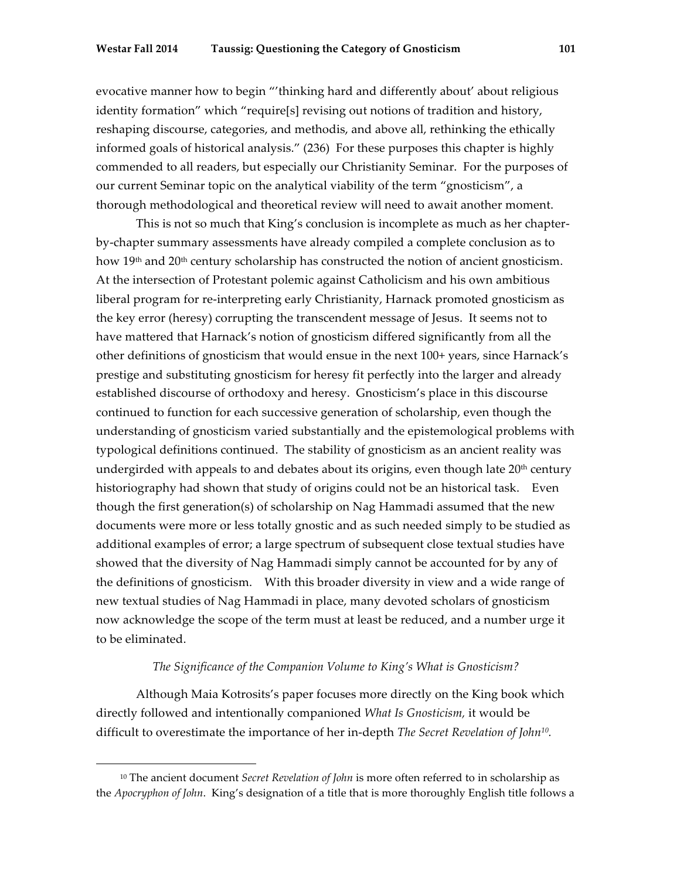evocative manner how to begin "'thinking hard and differently about' about religious identity formation" which "require[s] revising out notions of tradition and history, reshaping discourse, categories, and methodis, and above all, rethinking the ethically informed goals of historical analysis." (236) For these purposes this chapter is highly commended to all readers, but especially our Christianity Seminar. For the purposes of our current Seminar topic on the analytical viability of the term "gnosticism", a thorough methodological and theoretical review will need to await another moment.

This is not so much that King's conclusion is incomplete as much as her chapterby-chapter summary assessments have already compiled a complete conclusion as to how  $19<sup>th</sup>$  and  $20<sup>th</sup>$  century scholarship has constructed the notion of ancient gnosticism. At the intersection of Protestant polemic against Catholicism and his own ambitious liberal program for re-interpreting early Christianity, Harnack promoted gnosticism as the key error (heresy) corrupting the transcendent message of Jesus. It seems not to have mattered that Harnack's notion of gnosticism differed significantly from all the other definitions of gnosticism that would ensue in the next 100+ years, since Harnack's prestige and substituting gnosticism for heresy fit perfectly into the larger and already established discourse of orthodoxy and heresy. Gnosticism's place in this discourse continued to function for each successive generation of scholarship, even though the understanding of gnosticism varied substantially and the epistemological problems with typological definitions continued. The stability of gnosticism as an ancient reality was undergirded with appeals to and debates about its origins, even though late 20<sup>th</sup> century historiography had shown that study of origins could not be an historical task. Even though the first generation(s) of scholarship on Nag Hammadi assumed that the new documents were more or less totally gnostic and as such needed simply to be studied as additional examples of error; a large spectrum of subsequent close textual studies have showed that the diversity of Nag Hammadi simply cannot be accounted for by any of the definitions of gnosticism. With this broader diversity in view and a wide range of new textual studies of Nag Hammadi in place, many devoted scholars of gnosticism now acknowledge the scope of the term must at least be reduced, and a number urge it to be eliminated.

## *The Significance of the Companion Volume to King's What is Gnosticism?*

Although Maia Kotrosits's paper focuses more directly on the King book which directly followed and intentionally companioned *What Is Gnosticism,* it would be difficult to overestimate the importance of her in-depth *The Secret Revelation of John10.*

<sup>10</sup> The ancient document *Secret Revelation of John* is more often referred to in scholarship as the *Apocryphon of John*. King's designation of a title that is more thoroughly English title follows a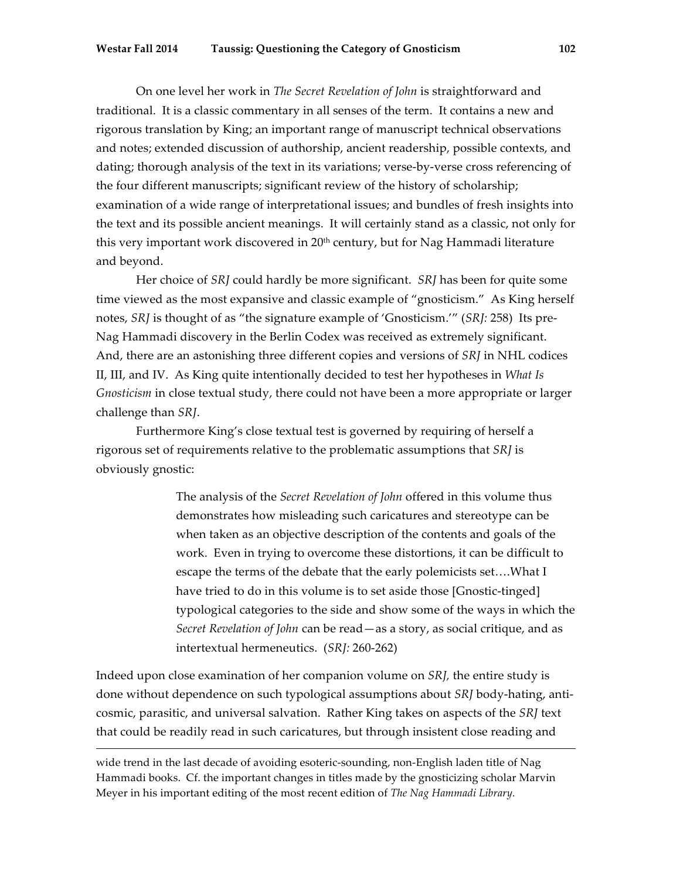On one level her work in *The Secret Revelation of John* is straightforward and traditional. It is a classic commentary in all senses of the term. It contains a new and rigorous translation by King; an important range of manuscript technical observations and notes; extended discussion of authorship, ancient readership, possible contexts, and dating; thorough analysis of the text in its variations; verse-by-verse cross referencing of the four different manuscripts; significant review of the history of scholarship; examination of a wide range of interpretational issues; and bundles of fresh insights into the text and its possible ancient meanings. It will certainly stand as a classic, not only for this very important work discovered in 20<sup>th</sup> century, but for Nag Hammadi literature and beyond.

Her choice of *SRJ* could hardly be more significant. *SRJ* has been for quite some time viewed as the most expansive and classic example of "gnosticism." As King herself notes, *SRJ* is thought of as "the signature example of 'Gnosticism.'" (*SRJ:* 258) Its pre-Nag Hammadi discovery in the Berlin Codex was received as extremely significant. And, there are an astonishing three different copies and versions of *SRJ* in NHL codices II, III, and IV. As King quite intentionally decided to test her hypotheses in *What Is Gnosticism* in close textual study, there could not have been a more appropriate or larger challenge than *SRJ*.

Furthermore King's close textual test is governed by requiring of herself a rigorous set of requirements relative to the problematic assumptions that *SRJ* is obviously gnostic:

> The analysis of the *Secret Revelation of John* offered in this volume thus demonstrates how misleading such caricatures and stereotype can be when taken as an objective description of the contents and goals of the work. Even in trying to overcome these distortions, it can be difficult to escape the terms of the debate that the early polemicists set….What I have tried to do in this volume is to set aside those [Gnostic-tinged] typological categories to the side and show some of the ways in which the *Secret Revelation of John* can be read—as a story, as social critique, and as intertextual hermeneutics. (*SRJ:* 260-262)

Indeed upon close examination of her companion volume on *SRJ,* the entire study is done without dependence on such typological assumptions about *SRJ* body-hating, anticosmic, parasitic, and universal salvation. Rather King takes on aspects of the *SRJ* text that could be readily read in such caricatures, but through insistent close reading and

<u> 1989 - Andrea Santa Alemania, amerikana amerikana amerikana amerikana amerikana amerikana amerikana amerikana</u>

wide trend in the last decade of avoiding esoteric-sounding, non-English laden title of Nag Hammadi books. Cf. the important changes in titles made by the gnosticizing scholar Marvin Meyer in his important editing of the most recent edition of *The Nag Hammadi Library.*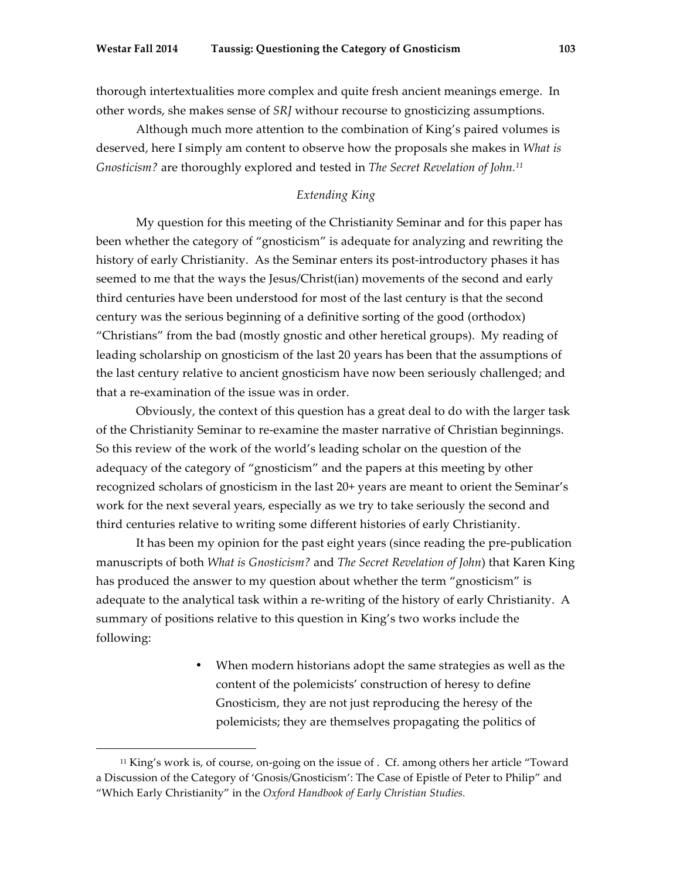thorough intertextualities more complex and quite fresh ancient meanings emerge. In other words, she makes sense of *SRJ* withour recourse to gnosticizing assumptions.

Although much more attention to the combination of King's paired volumes is deserved, here I simply am content to observe how the proposals she makes in *What is Gnosticism?* are thoroughly explored and tested in *The Secret Revelation of John.11*

# *Extending King*

My question for this meeting of the Christianity Seminar and for this paper has been whether the category of "gnosticism" is adequate for analyzing and rewriting the history of early Christianity. As the Seminar enters its post-introductory phases it has seemed to me that the ways the Jesus/Christ(ian) movements of the second and early third centuries have been understood for most of the last century is that the second century was the serious beginning of a definitive sorting of the good (orthodox) "Christians" from the bad (mostly gnostic and other heretical groups). My reading of leading scholarship on gnosticism of the last 20 years has been that the assumptions of the last century relative to ancient gnosticism have now been seriously challenged; and that a re-examination of the issue was in order.

Obviously, the context of this question has a great deal to do with the larger task of the Christianity Seminar to re-examine the master narrative of Christian beginnings. So this review of the work of the world's leading scholar on the question of the adequacy of the category of "gnosticism" and the papers at this meeting by other recognized scholars of gnosticism in the last 20+ years are meant to orient the Seminar's work for the next several years, especially as we try to take seriously the second and third centuries relative to writing some different histories of early Christianity.

It has been my opinion for the past eight years (since reading the pre-publication manuscripts of both *What is Gnosticism?* and *The Secret Revelation of John*) that Karen King has produced the answer to my question about whether the term "gnosticism" is adequate to the analytical task within a re-writing of the history of early Christianity. A summary of positions relative to this question in King's two works include the following:

> When modern historians adopt the same strategies as well as the content of the polemicists' construction of heresy to define Gnosticism, they are not just reproducing the heresy of the polemicists; they are themselves propagating the politics of

<sup>&</sup>lt;sup>11</sup> King's work is, of course, on-going on the issue of . Cf. among others her article "Toward a Discussion of the Category of 'Gnosis/Gnosticism': The Case of Epistle of Peter to Philip" and "Which Early Christianity" in the *Oxford Handbook of Early Christian Studies.*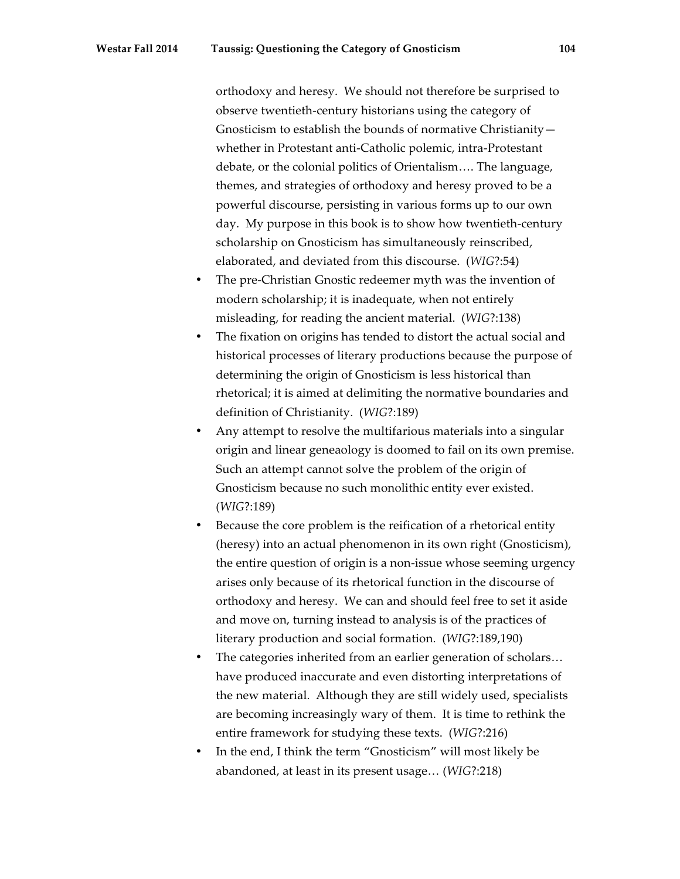orthodoxy and heresy. We should not therefore be surprised to observe twentieth-century historians using the category of Gnosticism to establish the bounds of normative Christianity whether in Protestant anti-Catholic polemic, intra-Protestant debate, or the colonial politics of Orientalism…. The language, themes, and strategies of orthodoxy and heresy proved to be a powerful discourse, persisting in various forms up to our own day. My purpose in this book is to show how twentieth-century scholarship on Gnosticism has simultaneously reinscribed, elaborated, and deviated from this discourse. (*WIG*?:54)

- The pre-Christian Gnostic redeemer myth was the invention of modern scholarship; it is inadequate, when not entirely misleading, for reading the ancient material. (*WIG*?:138)
- The fixation on origins has tended to distort the actual social and historical processes of literary productions because the purpose of determining the origin of Gnosticism is less historical than rhetorical; it is aimed at delimiting the normative boundaries and definition of Christianity. (*WIG*?:189)
- Any attempt to resolve the multifarious materials into a singular origin and linear geneaology is doomed to fail on its own premise. Such an attempt cannot solve the problem of the origin of Gnosticism because no such monolithic entity ever existed. (*WIG*?:189)
- Because the core problem is the reification of a rhetorical entity (heresy) into an actual phenomenon in its own right (Gnosticism), the entire question of origin is a non-issue whose seeming urgency arises only because of its rhetorical function in the discourse of orthodoxy and heresy. We can and should feel free to set it aside and move on, turning instead to analysis is of the practices of literary production and social formation. (*WIG*?:189,190)
- The categories inherited from an earlier generation of scholars... have produced inaccurate and even distorting interpretations of the new material. Although they are still widely used, specialists are becoming increasingly wary of them. It is time to rethink the entire framework for studying these texts. (*WIG*?:216)
- In the end, I think the term "Gnosticism" will most likely be abandoned, at least in its present usage… (*WIG*?:218)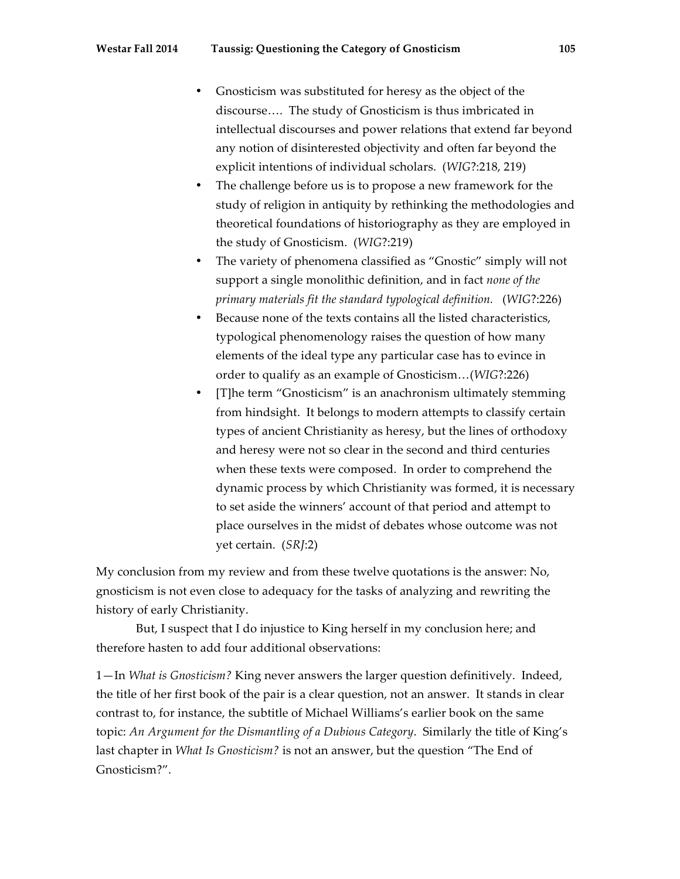- Gnosticism was substituted for heresy as the object of the discourse…. The study of Gnosticism is thus imbricated in intellectual discourses and power relations that extend far beyond any notion of disinterested objectivity and often far beyond the explicit intentions of individual scholars. (*WIG*?:218, 219)
- The challenge before us is to propose a new framework for the study of religion in antiquity by rethinking the methodologies and theoretical foundations of historiography as they are employed in the study of Gnosticism. (*WIG*?:219)
- The variety of phenomena classified as "Gnostic" simply will not support a single monolithic definition, and in fact *none of the primary materials fit the standard typological definition.* (*WIG*?:226)
- Because none of the texts contains all the listed characteristics, typological phenomenology raises the question of how many elements of the ideal type any particular case has to evince in order to qualify as an example of Gnosticism…(*WIG*?:226)
- [T]he term "Gnosticism" is an anachronism ultimately stemming from hindsight. It belongs to modern attempts to classify certain types of ancient Christianity as heresy, but the lines of orthodoxy and heresy were not so clear in the second and third centuries when these texts were composed. In order to comprehend the dynamic process by which Christianity was formed, it is necessary to set aside the winners' account of that period and attempt to place ourselves in the midst of debates whose outcome was not yet certain. (*SRJ*:2)

My conclusion from my review and from these twelve quotations is the answer: No, gnosticism is not even close to adequacy for the tasks of analyzing and rewriting the history of early Christianity.

But, I suspect that I do injustice to King herself in my conclusion here; and therefore hasten to add four additional observations:

1—In *What is Gnosticism?* King never answers the larger question definitively. Indeed, the title of her first book of the pair is a clear question, not an answer. It stands in clear contrast to, for instance, the subtitle of Michael Williams's earlier book on the same topic: *An Argument for the Dismantling of a Dubious Category*. Similarly the title of King's last chapter in *What Is Gnosticism?* is not an answer, but the question "The End of Gnosticism?".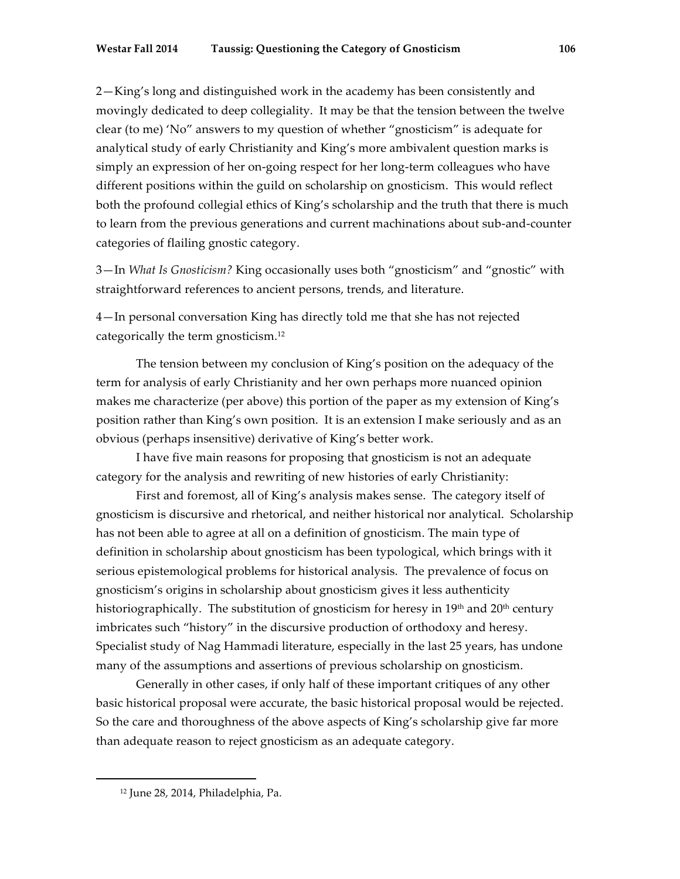2—King's long and distinguished work in the academy has been consistently and movingly dedicated to deep collegiality. It may be that the tension between the twelve clear (to me) 'No" answers to my question of whether "gnosticism" is adequate for analytical study of early Christianity and King's more ambivalent question marks is simply an expression of her on-going respect for her long-term colleagues who have different positions within the guild on scholarship on gnosticism. This would reflect both the profound collegial ethics of King's scholarship and the truth that there is much to learn from the previous generations and current machinations about sub-and-counter categories of flailing gnostic category.

3—In *What Is Gnosticism?* King occasionally uses both "gnosticism" and "gnostic" with straightforward references to ancient persons, trends, and literature.

4—In personal conversation King has directly told me that she has not rejected categorically the term gnosticism.12

The tension between my conclusion of King's position on the adequacy of the term for analysis of early Christianity and her own perhaps more nuanced opinion makes me characterize (per above) this portion of the paper as my extension of King's position rather than King's own position. It is an extension I make seriously and as an obvious (perhaps insensitive) derivative of King's better work.

I have five main reasons for proposing that gnosticism is not an adequate category for the analysis and rewriting of new histories of early Christianity:

First and foremost, all of King's analysis makes sense. The category itself of gnosticism is discursive and rhetorical, and neither historical nor analytical. Scholarship has not been able to agree at all on a definition of gnosticism. The main type of definition in scholarship about gnosticism has been typological, which brings with it serious epistemological problems for historical analysis. The prevalence of focus on gnosticism's origins in scholarship about gnosticism gives it less authenticity historiographically. The substitution of gnosticism for heresy in  $19<sup>th</sup>$  and  $20<sup>th</sup>$  century imbricates such "history" in the discursive production of orthodoxy and heresy. Specialist study of Nag Hammadi literature, especially in the last 25 years, has undone many of the assumptions and assertions of previous scholarship on gnosticism.

Generally in other cases, if only half of these important critiques of any other basic historical proposal were accurate, the basic historical proposal would be rejected. So the care and thoroughness of the above aspects of King's scholarship give far more than adequate reason to reject gnosticism as an adequate category.

<sup>12</sup> June 28, 2014, Philadelphia, Pa.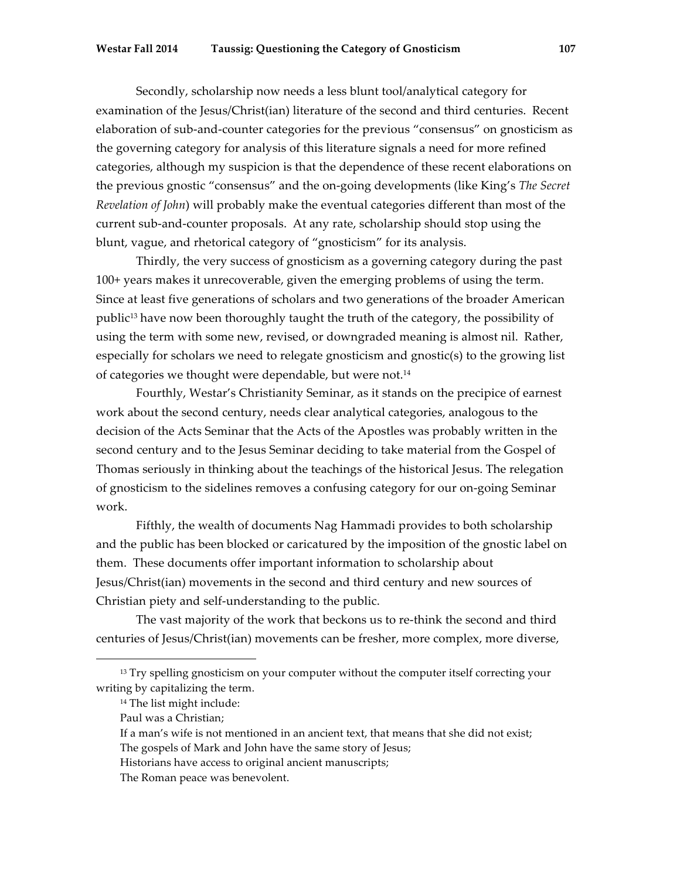Secondly, scholarship now needs a less blunt tool/analytical category for examination of the Jesus/Christ(ian) literature of the second and third centuries. Recent elaboration of sub-and-counter categories for the previous "consensus" on gnosticism as the governing category for analysis of this literature signals a need for more refined categories, although my suspicion is that the dependence of these recent elaborations on the previous gnostic "consensus" and the on-going developments (like King's *The Secret Revelation of John*) will probably make the eventual categories different than most of the current sub-and-counter proposals. At any rate, scholarship should stop using the blunt, vague, and rhetorical category of "gnosticism" for its analysis.

Thirdly, the very success of gnosticism as a governing category during the past 100+ years makes it unrecoverable, given the emerging problems of using the term. Since at least five generations of scholars and two generations of the broader American public13 have now been thoroughly taught the truth of the category, the possibility of using the term with some new, revised, or downgraded meaning is almost nil. Rather, especially for scholars we need to relegate gnosticism and gnostic(s) to the growing list of categories we thought were dependable, but were not.<sup>14</sup>

Fourthly, Westar's Christianity Seminar, as it stands on the precipice of earnest work about the second century, needs clear analytical categories, analogous to the decision of the Acts Seminar that the Acts of the Apostles was probably written in the second century and to the Jesus Seminar deciding to take material from the Gospel of Thomas seriously in thinking about the teachings of the historical Jesus. The relegation of gnosticism to the sidelines removes a confusing category for our on-going Seminar work.

Fifthly, the wealth of documents Nag Hammadi provides to both scholarship and the public has been blocked or caricatured by the imposition of the gnostic label on them. These documents offer important information to scholarship about Jesus/Christ(ian) movements in the second and third century and new sources of Christian piety and self-understanding to the public.

The vast majority of the work that beckons us to re-think the second and third centuries of Jesus/Christ(ian) movements can be fresher, more complex, more diverse,

<sup>&</sup>lt;sup>13</sup> Try spelling gnosticism on your computer without the computer itself correcting your writing by capitalizing the term.

<sup>14</sup> The list might include:

Paul was a Christian;

If a man's wife is not mentioned in an ancient text, that means that she did not exist;

The gospels of Mark and John have the same story of Jesus;

Historians have access to original ancient manuscripts;

The Roman peace was benevolent.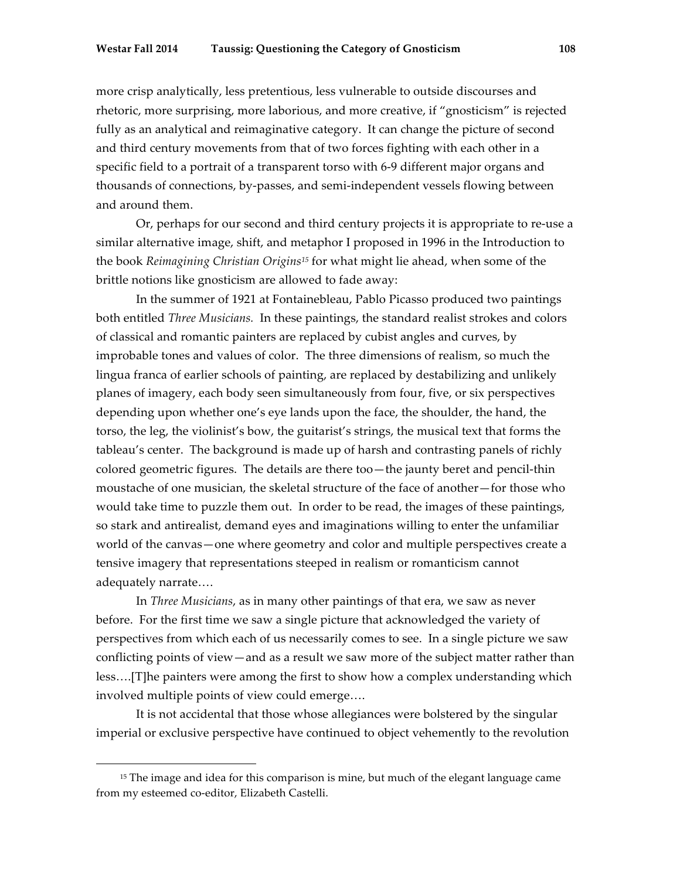more crisp analytically, less pretentious, less vulnerable to outside discourses and rhetoric, more surprising, more laborious, and more creative, if "gnosticism" is rejected fully as an analytical and reimaginative category. It can change the picture of second and third century movements from that of two forces fighting with each other in a specific field to a portrait of a transparent torso with 6-9 different major organs and thousands of connections, by-passes, and semi-independent vessels flowing between and around them.

Or, perhaps for our second and third century projects it is appropriate to re-use a similar alternative image, shift, and metaphor I proposed in 1996 in the Introduction to the book *Reimagining Christian Origins15* for what might lie ahead, when some of the brittle notions like gnosticism are allowed to fade away:

In the summer of 1921 at Fontainebleau, Pablo Picasso produced two paintings both entitled *Three Musicians.* In these paintings, the standard realist strokes and colors of classical and romantic painters are replaced by cubist angles and curves, by improbable tones and values of color. The three dimensions of realism, so much the lingua franca of earlier schools of painting, are replaced by destabilizing and unlikely planes of imagery, each body seen simultaneously from four, five, or six perspectives depending upon whether one's eye lands upon the face, the shoulder, the hand, the torso, the leg, the violinist's bow, the guitarist's strings, the musical text that forms the tableau's center. The background is made up of harsh and contrasting panels of richly colored geometric figures. The details are there too—the jaunty beret and pencil-thin moustache of one musician, the skeletal structure of the face of another—for those who would take time to puzzle them out. In order to be read, the images of these paintings, so stark and antirealist, demand eyes and imaginations willing to enter the unfamiliar world of the canvas—one where geometry and color and multiple perspectives create a tensive imagery that representations steeped in realism or romanticism cannot adequately narrate….

In *Three Musicians*, as in many other paintings of that era, we saw as never before. For the first time we saw a single picture that acknowledged the variety of perspectives from which each of us necessarily comes to see. In a single picture we saw conflicting points of view—and as a result we saw more of the subject matter rather than less….[T]he painters were among the first to show how a complex understanding which involved multiple points of view could emerge….

It is not accidental that those whose allegiances were bolstered by the singular imperial or exclusive perspective have continued to object vehemently to the revolution

<sup>&</sup>lt;sup>15</sup> The image and idea for this comparison is mine, but much of the elegant language came from my esteemed co-editor, Elizabeth Castelli.